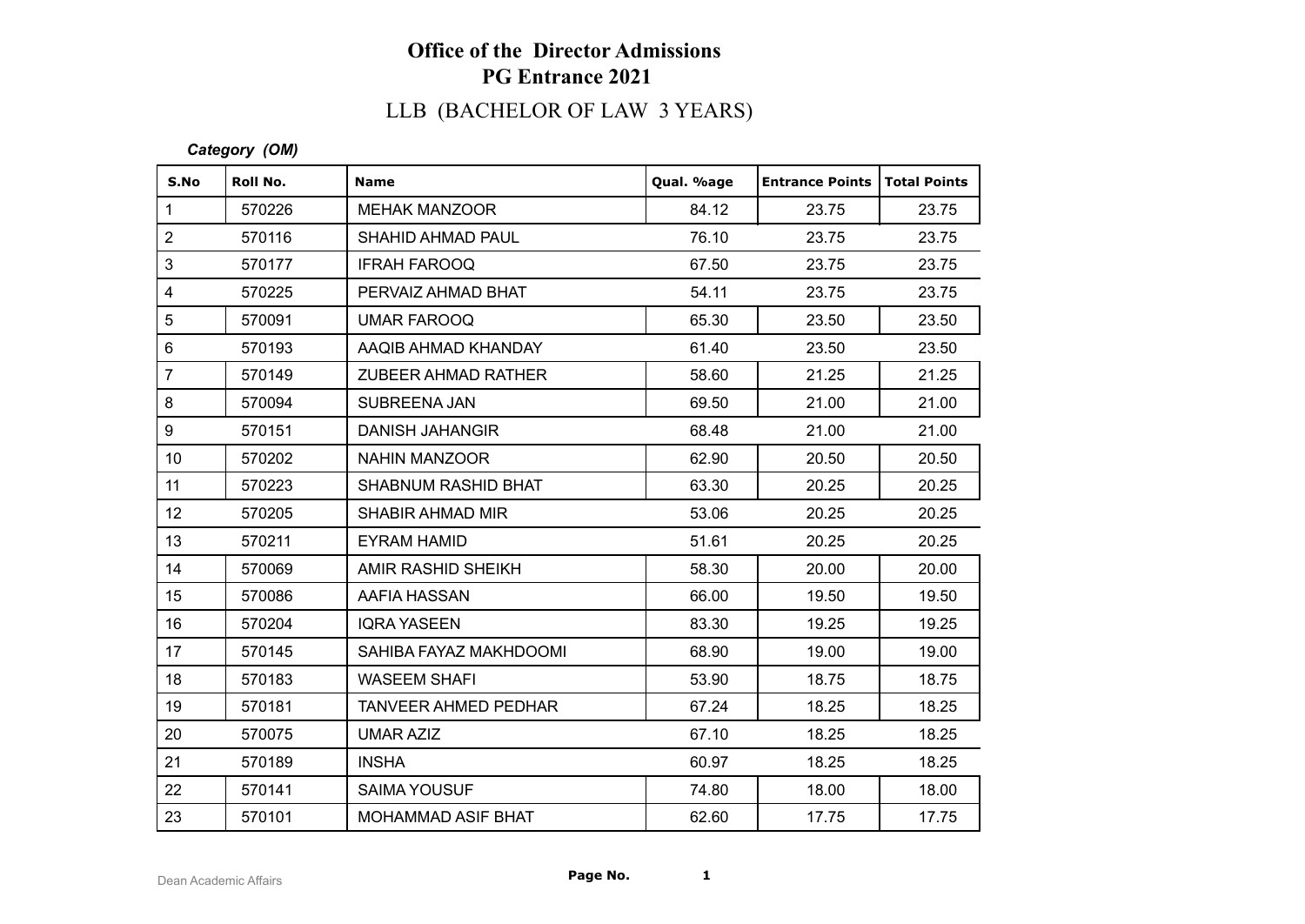# LLB (BACHELOR OF LAW 3 YEARS)

#### *Category (OM)*

| S.No            | Roll No. | <b>Name</b>                 | Qual. %age | <b>Entrance Points   Total Points</b> |       |
|-----------------|----------|-----------------------------|------------|---------------------------------------|-------|
| $\mathbf{1}$    | 570226   | <b>MEHAK MANZOOR</b>        | 84.12      | 23.75                                 | 23.75 |
| $\overline{2}$  | 570116   | SHAHID AHMAD PAUL           | 76.10      | 23.75                                 | 23.75 |
| 3               | 570177   | <b>IFRAH FAROOQ</b>         | 67.50      | 23.75                                 | 23.75 |
| $\overline{4}$  | 570225   | PERVAIZ AHMAD BHAT          | 54.11      | 23.75                                 | 23.75 |
| 5               | 570091   | UMAR FAROOQ                 | 65.30      | 23.50                                 | 23.50 |
| $6\phantom{1}$  | 570193   | AAQIB AHMAD KHANDAY         | 61.40      | 23.50                                 | 23.50 |
| $\overline{7}$  | 570149   | <b>ZUBEER AHMAD RATHER</b>  | 58.60      | 21.25                                 | 21.25 |
| 8               | 570094   | SUBREENA JAN                | 69.50      | 21.00                                 | 21.00 |
| 9               | 570151   | <b>DANISH JAHANGIR</b>      | 68.48      | 21.00                                 | 21.00 |
| 10 <sup>1</sup> | 570202   | <b>NAHIN MANZOOR</b>        | 62.90      | 20.50                                 | 20.50 |
| 11              | 570223   | SHABNUM RASHID BHAT         | 63.30      | 20.25                                 | 20.25 |
| 12 <sup>°</sup> | 570205   | <b>SHABIR AHMAD MIR</b>     | 53.06      | 20.25                                 | 20.25 |
| 13              | 570211   | <b>EYRAM HAMID</b>          | 51.61      | 20.25                                 | 20.25 |
| 14              | 570069   | AMIR RASHID SHEIKH          | 58.30      | 20.00                                 | 20.00 |
| 15              | 570086   | AAFIA HASSAN                | 66.00      | 19.50                                 | 19.50 |
| 16              | 570204   | <b>IQRA YASEEN</b>          | 83.30      | 19.25                                 | 19.25 |
| 17              | 570145   | SAHIBA FAYAZ MAKHDOOMI      | 68.90      | 19.00                                 | 19.00 |
| 18              | 570183   | <b>WASEEM SHAFI</b>         | 53.90      | 18.75                                 | 18.75 |
| 19              | 570181   | <b>TANVEER AHMED PEDHAR</b> | 67.24      | 18.25                                 | 18.25 |
| 20              | 570075   | <b>UMAR AZIZ</b>            | 67.10      | 18.25                                 | 18.25 |
| 21              | 570189   | <b>INSHA</b>                | 60.97      | 18.25                                 | 18.25 |
| 22              | 570141   | <b>SAIMA YOUSUF</b>         | 74.80      | 18.00                                 | 18.00 |
| 23              | 570101   | MOHAMMAD ASIF BHAT          | 62.60      | 17.75                                 | 17.75 |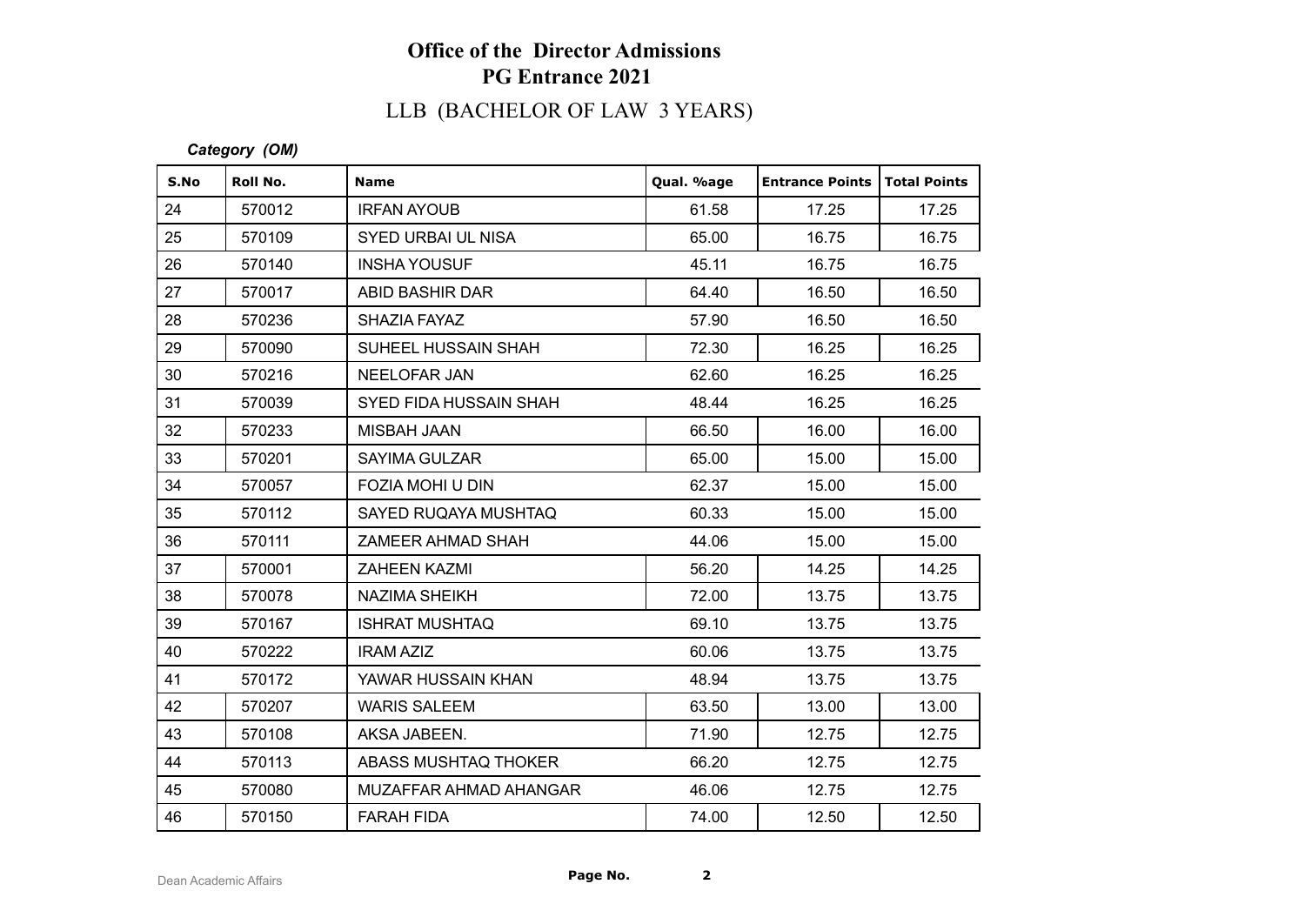# LLB (BACHELOR OF LAW 3 YEARS)

#### *Category (OM)*

| S.No | Roll No. | <b>Name</b>               | Qual. %age | <b>Entrance Points</b> | <b>Total Points</b> |
|------|----------|---------------------------|------------|------------------------|---------------------|
| 24   | 570012   | <b>IRFAN AYOUB</b>        | 61.58      | 17.25                  | 17.25               |
| 25   | 570109   | <b>SYED URBAI UL NISA</b> | 65.00      | 16.75                  | 16.75               |
| 26   | 570140   | <b>INSHA YOUSUF</b>       | 45.11      | 16.75                  | 16.75               |
| 27   | 570017   | ABID BASHIR DAR           | 64.40      | 16.50                  | 16.50               |
| 28   | 570236   | SHAZIA FAYAZ              | 57.90      | 16.50                  | 16.50               |
| 29   | 570090   | SUHEEL HUSSAIN SHAH       | 72.30      | 16.25                  | 16.25               |
| 30   | 570216   | NEELOFAR JAN              | 62.60      | 16.25                  | 16.25               |
| 31   | 570039   | SYED FIDA HUSSAIN SHAH    | 48.44      | 16.25                  | 16.25               |
| 32   | 570233   | <b>MISBAH JAAN</b>        | 66.50      | 16.00                  | 16.00               |
| 33   | 570201   | <b>SAYIMA GULZAR</b>      | 65.00      | 15.00                  | 15.00               |
| 34   | 570057   | <b>FOZIA MOHI U DIN</b>   | 62.37      | 15.00                  | 15.00               |
| 35   | 570112   | SAYED RUQAYA MUSHTAQ      | 60.33      | 15.00                  | 15.00               |
| 36   | 570111   | ZAMEER AHMAD SHAH         | 44.06      | 15.00                  | 15.00               |
| 37   | 570001   | <b>ZAHEEN KAZMI</b>       | 56.20      | 14.25                  | 14.25               |
| 38   | 570078   | <b>NAZIMA SHEIKH</b>      | 72.00      | 13.75                  | 13.75               |
| 39   | 570167   | <b>ISHRAT MUSHTAQ</b>     | 69.10      | 13.75                  | 13.75               |
| 40   | 570222   | <b>IRAM AZIZ</b>          | 60.06      | 13.75                  | 13.75               |
| 41   | 570172   | YAWAR HUSSAIN KHAN        | 48.94      | 13.75                  | 13.75               |
| 42   | 570207   | <b>WARIS SALEEM</b>       | 63.50      | 13.00                  | 13.00               |
| 43   | 570108   | AKSA JABEEN.              | 71.90      | 12.75                  | 12.75               |
| 44   | 570113   | ABASS MUSHTAQ THOKER      | 66.20      | 12.75                  | 12.75               |
| 45   | 570080   | MUZAFFAR AHMAD AHANGAR    | 46.06      | 12.75                  | 12.75               |
| 46   | 570150   | <b>FARAH FIDA</b>         | 74.00      | 12.50                  | 12.50               |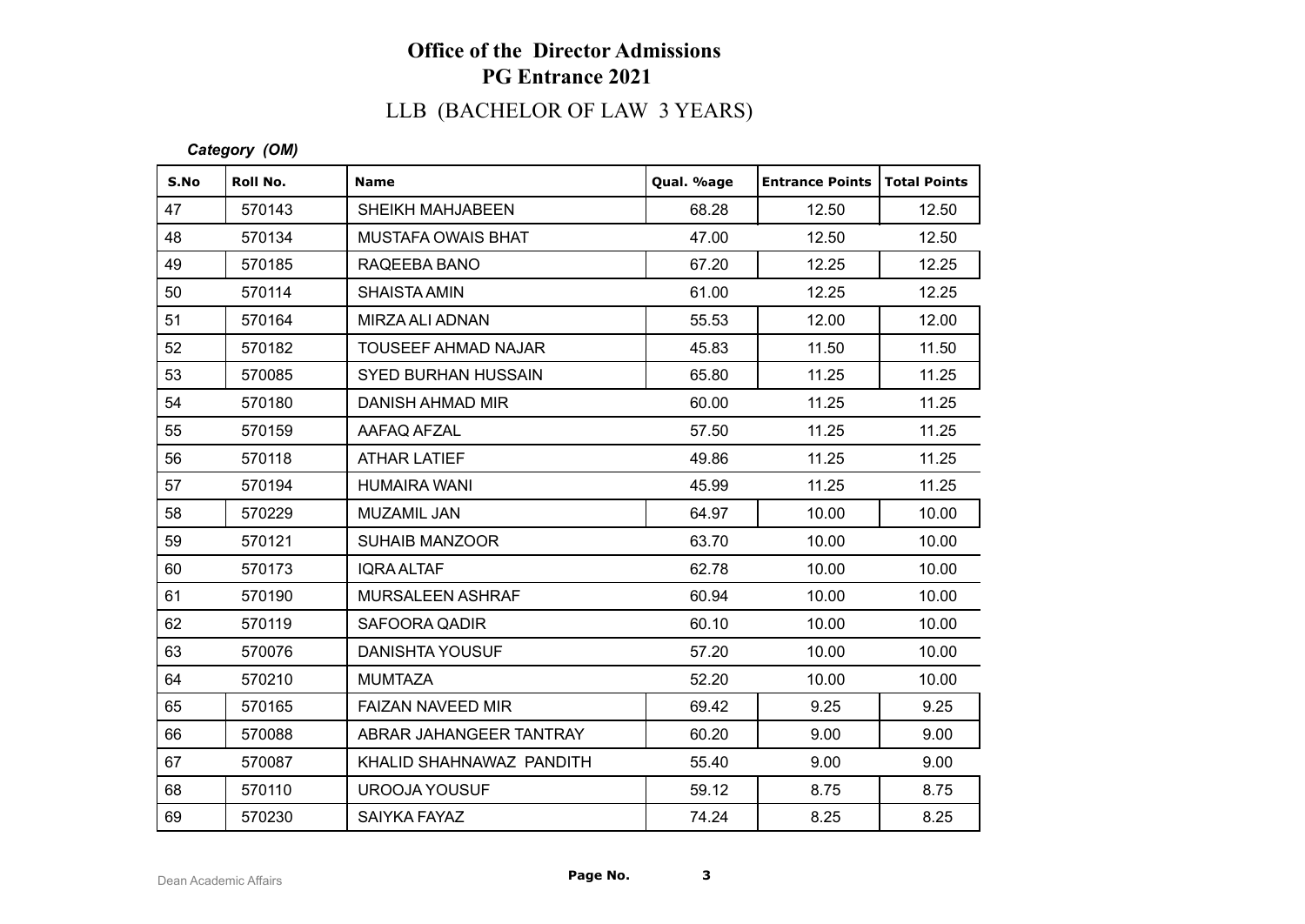# LLB (BACHELOR OF LAW 3 YEARS)

*Category (OM)*

| S.No | Roll No. | <b>Name</b>                | Qual. %age | <b>Entrance Points   Total Points</b> |       |
|------|----------|----------------------------|------------|---------------------------------------|-------|
| 47   | 570143   | SHEIKH MAHJABEEN           | 68.28      | 12.50                                 | 12.50 |
| 48   | 570134   | <b>MUSTAFA OWAIS BHAT</b>  | 47.00      | 12.50                                 | 12.50 |
| 49   | 570185   | RAQEEBA BANO               | 67.20      | 12.25                                 | 12.25 |
| 50   | 570114   | <b>SHAISTA AMIN</b>        | 61.00      | 12.25                                 | 12.25 |
| 51   | 570164   | MIRZA ALI ADNAN            | 55.53      | 12.00                                 | 12.00 |
| 52   | 570182   | <b>TOUSEEF AHMAD NAJAR</b> | 45.83      | 11.50                                 | 11.50 |
| 53   | 570085   | <b>SYED BURHAN HUSSAIN</b> | 65.80      | 11.25                                 | 11.25 |
| 54   | 570180   | DANISH AHMAD MIR           | 60.00      | 11.25                                 | 11.25 |
| 55   | 570159   | AAFAQ AFZAL                | 57.50      | 11.25                                 | 11.25 |
| 56   | 570118   | <b>ATHAR LATIEF</b>        | 49.86      | 11.25                                 | 11.25 |
| 57   | 570194   | <b>HUMAIRA WANI</b>        | 45.99      | 11.25                                 | 11.25 |
| 58   | 570229   | MUZAMIL JAN                | 64.97      | 10.00                                 | 10.00 |
| 59   | 570121   | <b>SUHAIB MANZOOR</b>      | 63.70      | 10.00                                 | 10.00 |
| 60   | 570173   | <b>IQRA ALTAF</b>          | 62.78      | 10.00                                 | 10.00 |
| 61   | 570190   | MURSALEEN ASHRAF           | 60.94      | 10.00                                 | 10.00 |
| 62   | 570119   | SAFOORA QADIR              | 60.10      | 10.00                                 | 10.00 |
| 63   | 570076   | <b>DANISHTA YOUSUF</b>     | 57.20      | 10.00                                 | 10.00 |
| 64   | 570210   | <b>MUMTAZA</b>             | 52.20      | 10.00                                 | 10.00 |
| 65   | 570165   | <b>FAIZAN NAVEED MIR</b>   | 69.42      | 9.25                                  | 9.25  |
| 66   | 570088   | ABRAR JAHANGEER TANTRAY    | 60.20      | 9.00                                  | 9.00  |
| 67   | 570087   | KHALID SHAHNAWAZ PANDITH   | 55.40      | 9.00                                  | 9.00  |
| 68   | 570110   | UROOJA YOUSUF              | 59.12      | 8.75                                  | 8.75  |
| 69   | 570230   | SAIYKA FAYAZ               | 74.24      | 8.25                                  | 8.25  |